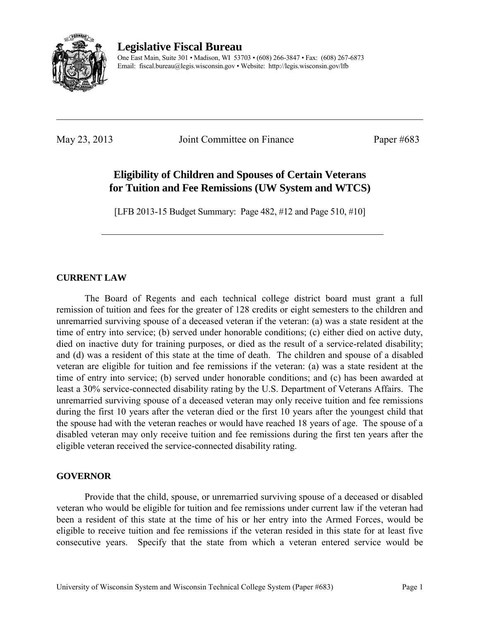

**Legislative Fiscal Bureau** 

One East Main, Suite 301 • Madison, WI 53703 • (608) 266-3847 • Fax: (608) 267-6873 Email: fiscal.bureau@legis.wisconsin.gov • Website:<http://legis.wisconsin.gov/lfb>

May 23, 2013 Joint Committee on Finance Paper #683

# **Eligibility of Children and Spouses of Certain Veterans for Tuition and Fee Remissions (UW System and WTCS)**

[LFB 2013-15 Budget Summary: Page 482, #12 and Page 510, #10]

### **CURRENT LAW**

 The Board of Regents and each technical college district board must grant a full remission of tuition and fees for the greater of 128 credits or eight semesters to the children and unremarried surviving spouse of a deceased veteran if the veteran: (a) was a state resident at the time of entry into service; (b) served under honorable conditions; (c) either died on active duty, died on inactive duty for training purposes, or died as the result of a service-related disability; and (d) was a resident of this state at the time of death. The children and spouse of a disabled veteran are eligible for tuition and fee remissions if the veteran: (a) was a state resident at the time of entry into service; (b) served under honorable conditions; and (c) has been awarded at least a 30% service-connected disability rating by the U.S. Department of Veterans Affairs. The unremarried surviving spouse of a deceased veteran may only receive tuition and fee remissions during the first 10 years after the veteran died or the first 10 years after the youngest child that the spouse had with the veteran reaches or would have reached 18 years of age. The spouse of a disabled veteran may only receive tuition and fee remissions during the first ten years after the eligible veteran received the service-connected disability rating.

#### **GOVERNOR**

 Provide that the child, spouse, or unremarried surviving spouse of a deceased or disabled veteran who would be eligible for tuition and fee remissions under current law if the veteran had been a resident of this state at the time of his or her entry into the Armed Forces, would be eligible to receive tuition and fee remissions if the veteran resided in this state for at least five consecutive years. Specify that the state from which a veteran entered service would be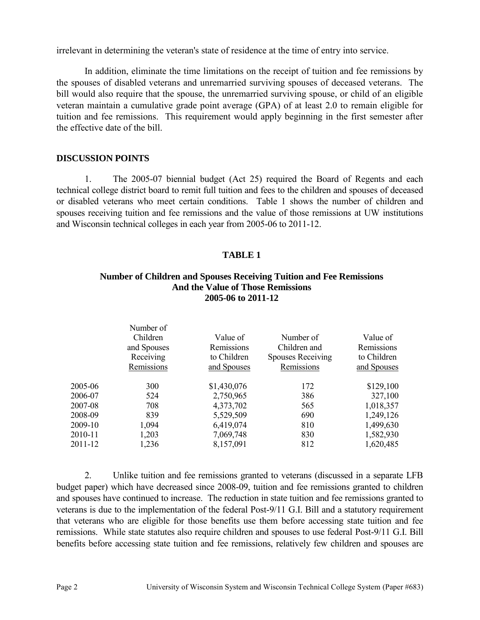irrelevant in determining the veteran's state of residence at the time of entry into service.

 In addition, eliminate the time limitations on the receipt of tuition and fee remissions by the spouses of disabled veterans and unremarried surviving spouses of deceased veterans. The bill would also require that the spouse, the unremarried surviving spouse, or child of an eligible veteran maintain a cumulative grade point average (GPA) of at least 2.0 to remain eligible for tuition and fee remissions. This requirement would apply beginning in the first semester after the effective date of the bill.

#### **DISCUSSION POINTS**

1. The 2005-07 biennial budget (Act 25) required the Board of Regents and each technical college district board to remit full tuition and fees to the children and spouses of deceased or disabled veterans who meet certain conditions. Table 1 shows the number of children and spouses receiving tuition and fee remissions and the value of those remissions at UW institutions and Wisconsin technical colleges in each year from 2005-06 to 2011-12.

#### **TABLE 1**

#### **Number of Children and Spouses Receiving Tuition and Fee Remissions And the Value of Those Remissions 2005-06 to 2011-12**

|         | Number of<br>Children<br>and Spouses<br>Receiving<br>Remissions | Value of<br>Remissions<br>to Children<br>and Spouses | Number of<br>Children and<br><b>Spouses Receiving</b><br>Remissions | Value of<br>Remissions<br>to Children<br>and Spouses |
|---------|-----------------------------------------------------------------|------------------------------------------------------|---------------------------------------------------------------------|------------------------------------------------------|
| 2005-06 | 300                                                             | \$1,430,076                                          | 172                                                                 | \$129,100                                            |
| 2006-07 | 524                                                             | 2,750,965                                            | 386                                                                 | 327,100                                              |
| 2007-08 | 708                                                             | 4,373,702                                            | 565                                                                 | 1,018,357                                            |
| 2008-09 | 839                                                             | 5,529,509                                            | 690                                                                 | 1,249,126                                            |
| 2009-10 | 1,094                                                           | 6,419,074                                            | 810                                                                 | 1,499,630                                            |
| 2010-11 | 1,203                                                           | 7,069,748                                            | 830                                                                 | 1,582,930                                            |
| 2011-12 | 1,236                                                           | 8,157,091                                            | 812                                                                 | 1,620,485                                            |
|         |                                                                 |                                                      |                                                                     |                                                      |

2. Unlike tuition and fee remissions granted to veterans (discussed in a separate LFB budget paper) which have decreased since 2008-09, tuition and fee remissions granted to children and spouses have continued to increase. The reduction in state tuition and fee remissions granted to veterans is due to the implementation of the federal Post-9/11 G.I. Bill and a statutory requirement that veterans who are eligible for those benefits use them before accessing state tuition and fee remissions. While state statutes also require children and spouses to use federal Post-9/11 G.I. Bill benefits before accessing state tuition and fee remissions, relatively few children and spouses are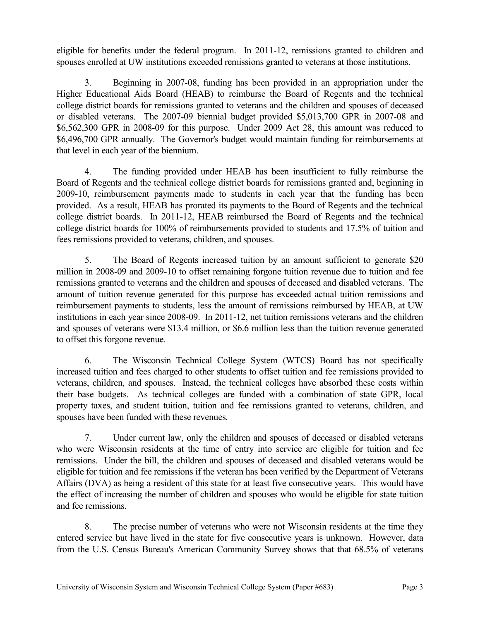eligible for benefits under the federal program. In 2011-12, remissions granted to children and spouses enrolled at UW institutions exceeded remissions granted to veterans at those institutions.

3. Beginning in 2007-08, funding has been provided in an appropriation under the Higher Educational Aids Board (HEAB) to reimburse the Board of Regents and the technical college district boards for remissions granted to veterans and the children and spouses of deceased or disabled veterans. The 2007-09 biennial budget provided \$5,013,700 GPR in 2007-08 and \$6,562,300 GPR in 2008-09 for this purpose. Under 2009 Act 28, this amount was reduced to \$6,496,700 GPR annually. The Governor's budget would maintain funding for reimbursements at that level in each year of the biennium.

4. The funding provided under HEAB has been insufficient to fully reimburse the Board of Regents and the technical college district boards for remissions granted and, beginning in 2009-10, reimbursement payments made to students in each year that the funding has been provided. As a result, HEAB has prorated its payments to the Board of Regents and the technical college district boards. In 2011-12, HEAB reimbursed the Board of Regents and the technical college district boards for 100% of reimbursements provided to students and 17.5% of tuition and fees remissions provided to veterans, children, and spouses.

5. The Board of Regents increased tuition by an amount sufficient to generate \$20 million in 2008-09 and 2009-10 to offset remaining forgone tuition revenue due to tuition and fee remissions granted to veterans and the children and spouses of deceased and disabled veterans. The amount of tuition revenue generated for this purpose has exceeded actual tuition remissions and reimbursement payments to students, less the amount of remissions reimbursed by HEAB, at UW institutions in each year since 2008-09. In 2011-12, net tuition remissions veterans and the children and spouses of veterans were \$13.4 million, or \$6.6 million less than the tuition revenue generated to offset this forgone revenue.

6. The Wisconsin Technical College System (WTCS) Board has not specifically increased tuition and fees charged to other students to offset tuition and fee remissions provided to veterans, children, and spouses. Instead, the technical colleges have absorbed these costs within their base budgets. As technical colleges are funded with a combination of state GPR, local property taxes, and student tuition, tuition and fee remissions granted to veterans, children, and spouses have been funded with these revenues.

7. Under current law, only the children and spouses of deceased or disabled veterans who were Wisconsin residents at the time of entry into service are eligible for tuition and fee remissions. Under the bill, the children and spouses of deceased and disabled veterans would be eligible for tuition and fee remissions if the veteran has been verified by the Department of Veterans Affairs (DVA) as being a resident of this state for at least five consecutive years. This would have the effect of increasing the number of children and spouses who would be eligible for state tuition and fee remissions.

8. The precise number of veterans who were not Wisconsin residents at the time they entered service but have lived in the state for five consecutive years is unknown. However, data from the U.S. Census Bureau's American Community Survey shows that that 68.5% of veterans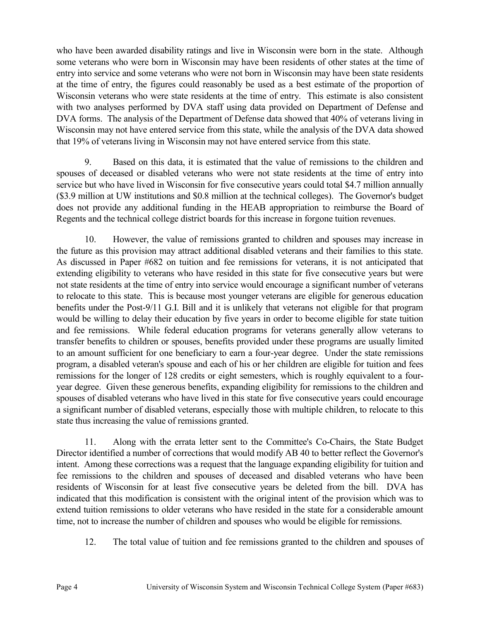who have been awarded disability ratings and live in Wisconsin were born in the state. Although some veterans who were born in Wisconsin may have been residents of other states at the time of entry into service and some veterans who were not born in Wisconsin may have been state residents at the time of entry, the figures could reasonably be used as a best estimate of the proportion of Wisconsin veterans who were state residents at the time of entry. This estimate is also consistent with two analyses performed by DVA staff using data provided on Department of Defense and DVA forms. The analysis of the Department of Defense data showed that 40% of veterans living in Wisconsin may not have entered service from this state, while the analysis of the DVA data showed that 19% of veterans living in Wisconsin may not have entered service from this state.

9. Based on this data, it is estimated that the value of remissions to the children and spouses of deceased or disabled veterans who were not state residents at the time of entry into service but who have lived in Wisconsin for five consecutive years could total \$4.7 million annually (\$3.9 million at UW institutions and \$0.8 million at the technical colleges). The Governor's budget does not provide any additional funding in the HEAB appropriation to reimburse the Board of Regents and the technical college district boards for this increase in forgone tuition revenues.

10. However, the value of remissions granted to children and spouses may increase in the future as this provision may attract additional disabled veterans and their families to this state. As discussed in Paper #682 on tuition and fee remissions for veterans, it is not anticipated that extending eligibility to veterans who have resided in this state for five consecutive years but were not state residents at the time of entry into service would encourage a significant number of veterans to relocate to this state. This is because most younger veterans are eligible for generous education benefits under the Post-9/11 G.I. Bill and it is unlikely that veterans not eligible for that program would be willing to delay their education by five years in order to become eligible for state tuition and fee remissions. While federal education programs for veterans generally allow veterans to transfer benefits to children or spouses, benefits provided under these programs are usually limited to an amount sufficient for one beneficiary to earn a four-year degree. Under the state remissions program, a disabled veteran's spouse and each of his or her children are eligible for tuition and fees remissions for the longer of 128 credits or eight semesters, which is roughly equivalent to a fouryear degree. Given these generous benefits, expanding eligibility for remissions to the children and spouses of disabled veterans who have lived in this state for five consecutive years could encourage a significant number of disabled veterans, especially those with multiple children, to relocate to this state thus increasing the value of remissions granted.

11. Along with the errata letter sent to the Committee's Co-Chairs, the State Budget Director identified a number of corrections that would modify AB 40 to better reflect the Governor's intent. Among these corrections was a request that the language expanding eligibility for tuition and fee remissions to the children and spouses of deceased and disabled veterans who have been residents of Wisconsin for at least five consecutive years be deleted from the bill. DVA has indicated that this modification is consistent with the original intent of the provision which was to extend tuition remissions to older veterans who have resided in the state for a considerable amount time, not to increase the number of children and spouses who would be eligible for remissions.

12. The total value of tuition and fee remissions granted to the children and spouses of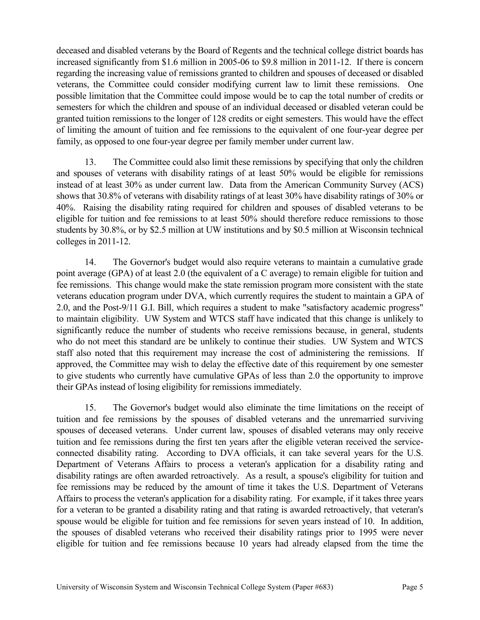deceased and disabled veterans by the Board of Regents and the technical college district boards has increased significantly from \$1.6 million in 2005-06 to \$9.8 million in 2011-12. If there is concern regarding the increasing value of remissions granted to children and spouses of deceased or disabled veterans, the Committee could consider modifying current law to limit these remissions. One possible limitation that the Committee could impose would be to cap the total number of credits or semesters for which the children and spouse of an individual deceased or disabled veteran could be granted tuition remissions to the longer of 128 credits or eight semesters. This would have the effect of limiting the amount of tuition and fee remissions to the equivalent of one four-year degree per family, as opposed to one four-year degree per family member under current law.

13. The Committee could also limit these remissions by specifying that only the children and spouses of veterans with disability ratings of at least 50% would be eligible for remissions instead of at least 30% as under current law. Data from the American Community Survey (ACS) shows that 30.8% of veterans with disability ratings of at least 30% have disability ratings of 30% or 40%. Raising the disability rating required for children and spouses of disabled veterans to be eligible for tuition and fee remissions to at least 50% should therefore reduce remissions to those students by 30.8%, or by \$2.5 million at UW institutions and by \$0.5 million at Wisconsin technical colleges in 2011-12.

14. The Governor's budget would also require veterans to maintain a cumulative grade point average (GPA) of at least 2.0 (the equivalent of a C average) to remain eligible for tuition and fee remissions. This change would make the state remission program more consistent with the state veterans education program under DVA, which currently requires the student to maintain a GPA of 2.0, and the Post-9/11 G.I. Bill, which requires a student to make "satisfactory academic progress" to maintain eligibility. UW System and WTCS staff have indicated that this change is unlikely to significantly reduce the number of students who receive remissions because, in general, students who do not meet this standard are be unlikely to continue their studies. UW System and WTCS staff also noted that this requirement may increase the cost of administering the remissions. If approved, the Committee may wish to delay the effective date of this requirement by one semester to give students who currently have cumulative GPAs of less than 2.0 the opportunity to improve their GPAs instead of losing eligibility for remissions immediately.

15. The Governor's budget would also eliminate the time limitations on the receipt of tuition and fee remissions by the spouses of disabled veterans and the unremarried surviving spouses of deceased veterans. Under current law, spouses of disabled veterans may only receive tuition and fee remissions during the first ten years after the eligible veteran received the serviceconnected disability rating. According to DVA officials, it can take several years for the U.S. Department of Veterans Affairs to process a veteran's application for a disability rating and disability ratings are often awarded retroactively. As a result, a spouse's eligibility for tuition and fee remissions may be reduced by the amount of time it takes the U.S. Department of Veterans Affairs to process the veteran's application for a disability rating. For example, if it takes three years for a veteran to be granted a disability rating and that rating is awarded retroactively, that veteran's spouse would be eligible for tuition and fee remissions for seven years instead of 10. In addition, the spouses of disabled veterans who received their disability ratings prior to 1995 were never eligible for tuition and fee remissions because 10 years had already elapsed from the time the